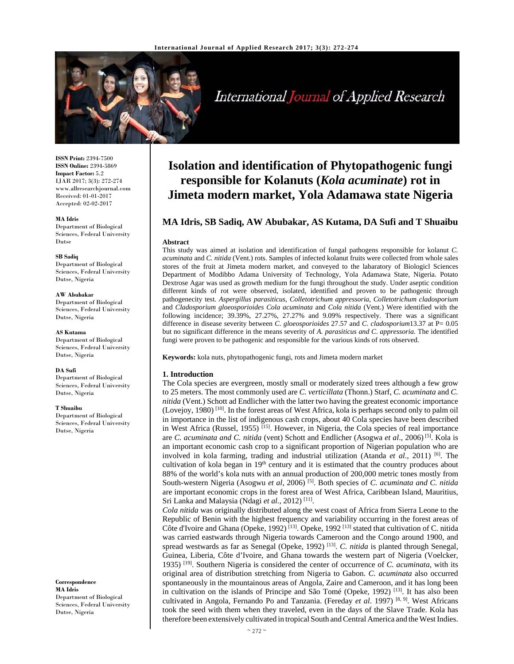

International Journal of Applied Research

**ISSN Print:** 2394-7500 **ISSN Online:** 2394-5869 **Impact Factor:** 5.2 IJAR 2017; 3(3): 272-274 www.allresearchjournal.com Received: 01-01-2017 Accepted: 02-02-2017

**MA Idris**  Department of Biological Sciences, Federal University Dutse

#### **SB Sadiq**

Department of Biological Sciences, Federal University Dutse, Nigeria

**AW Abubakar**  Department of Biological Sciences, Federal University Dutse, Nigeria

**AS Kutama**  Department of Biological Sciences, Federal University Dutse, Nigeria

**DA Sufi**  Department of Biological Sciences, Federal University Dutse, Nigeria

#### **T Shuaibu**

Department of Biological Sciences, Federal University Dutse, Nigeria

**Correspondence MA Idris**  Department of Biological Sciences, Federal University Dutse, Nigeria

# **Isolation and identification of Phytopathogenic fungi responsible for Kolanuts (***Kola acuminate***) rot in Jimeta modern market, Yola Adamawa state Nigeria**

# **MA Idris, SB Sadiq, AW Abubakar, AS Kutama, DA Sufi and T Shuaibu**

#### **Abstract**

This study was aimed at isolation and identification of fungal pathogens responsible for kolanut *C. acuminata* and *C. nitida* (Vent.) rots. Samples of infected kolanut fruits were collected from whole sales stores of the fruit at Jimeta modern market, and conveyed to the labaratory of Biologicl Sciences Department of Modibbo Adama University of Technology, Yola Adamawa State, Nigeria. Potato Dextrose Agar was used as growth medium for the fungi throughout the study. Under aseptic condition different kinds of rot were observed, isolated, identified and proven to be pathogenic through pathogenecity test. *Aspergillus parasiticus*, *Colletotrichum appressoria*, *Colletotrichum cladosporium* and *Cladosporium gloeosporioides Cola acuminata* and *Cola nitida* (Vent.) Were identified with the following incidence; 39.39%, 27.27%, 27.27% and 9.09% respectively. There was a significant difference in disease severity between *C*. *gloeosporioides* 27.57 and *C*. *cladosporium*13.37 at P= 0.05 but no significant difference in the means severity of *A. parasiticus and C*. *appressoria.* The identified fungi were proven to be pathogenic and responsible for the various kinds of rots observed.

**Keywords:** kola nuts, phytopathogenic fungi, rots and Jimeta modern market

## **1. Introduction**

The Cola species are evergreen, mostly small or moderately sized trees although a few grow to 25 meters. The most commonly used are *C. verticillata* (Thonn.) Starf, *C. acuminata* and *C. nitida* (Vent.) Schott ad Endlicher with the latter two having the greatest economic importance (Lovejoy, 1980) [10]. In the forest areas of West Africa, kola is perhaps second only to palm oil in importance in the list of indigenous cash crops, about 40 Cola species have been described in West Africa (Russel, 1955)<sup>[15]</sup>. However, in Nigeria, the Cola species of real importance are *C. acuminata and C. nitida* (vent) Schott and Endlicher (Asogwa *et al*., 2006) [5]. Kola is an important economic cash crop to a significant proportion of Nigerian population who are involved in kola farming, trading and industrial utilization (Atanda *et al.,* 2011) [6]. The cultivation of kola began in  $19<sup>th</sup>$  century and it is estimated that the country produces about 88% of the world's kola nuts with an annual production of 200,000 metric tones mostly from South-western Nigeria (Asogwu et al, 2006)<sup>[5]</sup>. Both species of *C. acuminata and C. nitida* are important economic crops in the forest area of West Africa, Caribbean Island, Mauritius, Sri Lanka and Malaysia (Ndagi et al., 2012)<sup>[11]</sup>.

*Cola nitida* was originally distributed along the west coast of Africa from Sierra Leone to the Republic of Benin with the highest frequency and variability occurring in the forest areas of Côte d'Ivoire and Ghana (Opeke, 1992)<sup>[13]</sup>. Opeke, 1992<sup>[13]</sup> stated that cultivation of C. nitida was carried eastwards through Nigeria towards Cameroon and the Congo around 1900, and spread westwards as far as Senegal (Opeke, 1992) [13]. *C. nitida* is planted through Senegal, Guinea, Liberia, Côte d'Ivoire, and Ghana towards the western part of Nigeria (Voelcker, 1935) [19]. Southern Nigeria is considered the center of occurrence of *C. acuminata*, with its original area of distribution stretching from Nigeria to Gabon. *C. acuminata* also occurred spontaneously in the mountainous areas of Angola, Zaire and Cameroon, and it has long been in cultivation on the islands of Principe and São Tomé (Opeke, 1992) [13]. It has also been cultivated in Angola, Fernando Po and Tanzania. (Fereday *et al*. 1997) [8, 9]. West Africans took the seed with them when they traveled, even in the days of the Slave Trade. Kola has therefore been extensively cultivated in tropical South and Central America and the West Indies.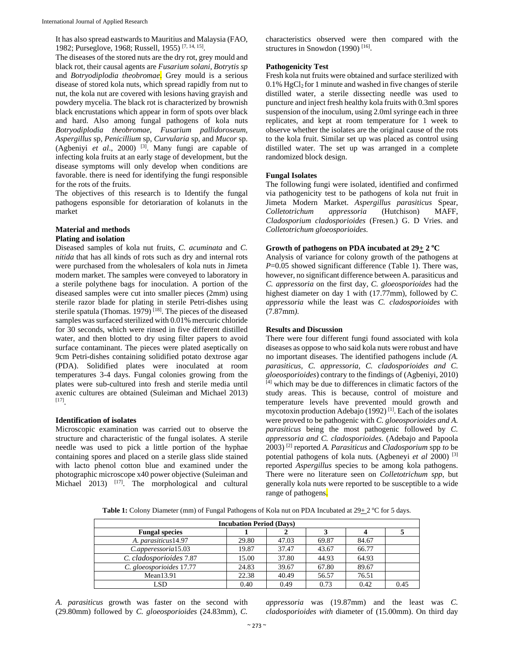It has also spread eastwards to Mauritius and Malaysia (FAO, 1982; Purseglove, 1968; Russell, 1955) [7, 14, 15].

The diseases of the stored nuts are the dry rot, grey mould and black rot, their causal agents are *Fusarium solani, Botrytis sp* and *Botryodiplodia theobromae*. Grey mould is a serious disease of stored kola nuts, which spread rapidly from nut to nut, the kola nut are covered with lesions having grayish and powdery mycelia. The black rot is characterized by brownish black encrustations which appear in form of spots over black and hard. Also among fungal pathogens of kola nuts *Botryodiplodia theobromae, Fusarium pallidoroseum, Aspergillus* sp, *Penicillium* sp, *Curvularia* sp, and *Mucor* sp. (Agbeniyi *et al*., 2000) [3]. Many fungi are capable of infecting kola fruits at an early stage of development, but the disease symptoms will only develop when conditions are favorable. there is need for identifying the fungi responsible for the rots of the fruits.

The objectives of this research is to Identify the fungal pathogens esponsible for detoriaration of kolanuts in the market

#### **Material and methods Plating and isolation**

Diseased samples of kola nut fruits, *C. acuminata* and *C. nitida* that has all kinds of rots such as dry and internal rots were purchased from the wholesalers of kola nuts in Jimeta modern market. The samples were conveyed to laboratory in a sterile polythene bags for inoculation. A portion of the diseased samples were cut into smaller pieces (2mm) using sterile razor blade for plating in sterile Petri-dishes using sterile spatula (Thomas. 1979)<sup>[18]</sup>. The pieces of the diseased samples was surfaced sterilized with 0.01% mercuric chloride for 30 seconds, which were rinsed in five different distilled water, and then blotted to dry using filter papers to avoid surface contaminant. The pieces were plated aseptically on 9cm Petri-dishes containing solidified potato dextrose agar (PDA). Solidified plates were inoculated at room temperatures 3-4 days. Fungal colonies growing from the plates were sub-cultured into fresh and sterile media until axenic cultures are obtained (Suleiman and Michael 2013) [17].

## **Identification of isolates**

Microscopic examination was carried out to observe the structure and characteristic of the fungal isolates. A sterile needle was used to pick a little portion of the hyphae containing spores and placed on a sterile glass slide stained with lacto phenol cotton blue and examined under the photographic microscope x40 power objective (Suleiman and Michael  $2013$   $[17]$ . The morphological and cultural characteristics observed were then compared with the structures in Snowdon  $(1990)$ <sup>[16]</sup>.

## **Pathogenicity Test**

Fresh kola nut fruits were obtained and surface sterilized with  $0.1\%$  HgCl<sub>2</sub> for 1 minute and washed in five changes of sterile distilled water, a sterile dissecting needle was used to puncture and inject fresh healthy kola fruits with 0.3ml spores suspension of the inoculum, using 2.0ml syringe each in three replicates, and kept at room temperature for 1 week to observe whether the isolates are the original cause of the rots to the kola fruit. Similar set up was placed as control using distilled water. The set up was arranged in a complete randomized block design.

#### **Fungal Isolates**

The following fungi were isolated, identified and confirmed via pathogenicity test to be pathogens of kola nut fruit in Jimeta Modern Market. *Aspergillus parasiticus* Spear, *Colletotrichum appressoria* (Hutchison) MAFF, *Cladosporium cladosporioides* (Fresen.) G. D Vries. and *Colletotrichum gloeosporioides*.

### Growth of pathogens on PDA incubated at  $29 \pm 2$  °C

Analysis of variance for colony growth of the pathogens at *P*=0.05 showed significant difference (Table 1). There was, however, no significant difference between A. parasiticus and *C. appressoria* on the first day, *C. gloeosporioides* had the highest diameter on day 1 with (17.77mm), followed by *C. appressoria* while the least was *C. cladosporioides* with (7.87mm*).* 

#### **Results and Discussion**

There were four different fungi found associated with kola diseases as oppose to who said kola nuts were robust and have no important diseases. The identified pathogens include *(A. parasiticus, C. appressoria, C. cladosporioides and C. gloeosporioides*) contrary to the findings of (Agbeniyi, 2010) [4] which may be due to differences in climatic factors of the study areas. This is because, control of moisture and temperature levels have prevented mould growth and mycotoxin production Adebajo (1992)<sup>[1]</sup>. Each of the isolates were proved to be pathogenic with *C. gloeosporioides and A. parasiticus* being the most pathogenic followed by *C. appressoria and C. cladosporioides.* (Adebajo and Papoola 2003) [2] reported *A. Parasiticus* and *Cladosporium* spp *to* be potential pathogens of kola nuts*.* (Agbeneyi *et al* 2000) [3] reported *Aspergillus* species to be among kola pathogens. There were no literature seen on *Colletotrichum spp*, but generally kola nuts were reported to be susceptible to a wide range of pathogens.

Table 1: Colony Diameter (mm) of Fungal Pathogens of Kola nut on PDA Incubated at 29+2 °C for 5 days.

| <b>Incubation Period (Days)</b> |       |       |       |       |      |  |  |
|---------------------------------|-------|-------|-------|-------|------|--|--|
| <b>Fungal species</b>           |       |       |       |       |      |  |  |
| A. parasiticus 14.97            | 29.80 | 47.03 | 69.87 | 84.67 |      |  |  |
| C.apperessoria15.03             | 19.87 | 37.47 | 43.67 | 66.77 |      |  |  |
| C. cladosporioides 7.87         | 15.00 | 37.80 | 44.93 | 64.93 |      |  |  |
| C. gloeosporioides 17.77        | 24.83 | 39.67 | 67.80 | 89.67 |      |  |  |
| Mean13.91                       | 22.38 | 40.49 | 56.57 | 76.51 |      |  |  |
| LSD                             | 0.40  | 0.49  | 0.73  | 0.42  | 0.45 |  |  |

*A. parasiticus* growth was faster on the second with (29.80mm) followed by *C. gloeosporioides* (24.83mm), *C.* 

*appressoria* was (19.87mm) and the least was *C. cladosporioides with* diameter of (15.00mm). On third day